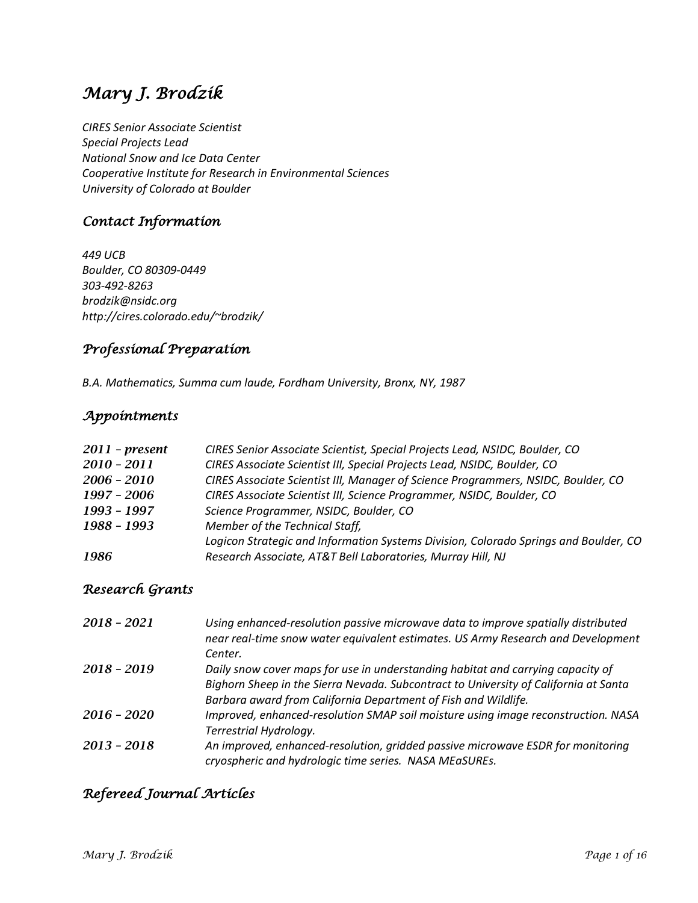# *Mary J. Brodzik*

*CIRES Senior Associate Scientist Special Projects Lead National Snow and Ice Data Center Cooperative Institute for Research in Environmental Sciences University of Colorado at Boulder*

# *Contact Information*

*449 UCB Boulder, CO 80309-0449 303-492-8263 brodzik@nsidc.org http://cires.colorado.edu/~brodzik/*

# *Professional Preparation*

*B.A. Mathematics, Summa cum laude, Fordham University, Bronx, NY, 1987*

### *Appointments*

| $2011$ - present | CIRES Senior Associate Scientist, Special Projects Lead, NSIDC, Boulder, CO          |
|------------------|--------------------------------------------------------------------------------------|
| $2010 - 2011$    | CIRES Associate Scientist III, Special Projects Lead, NSIDC, Boulder, CO             |
| $2006 - 2010$    | CIRES Associate Scientist III, Manager of Science Programmers, NSIDC, Boulder, CO    |
| 1997 - 2006      | CIRES Associate Scientist III, Science Programmer, NSIDC, Boulder, CO                |
| 1993 - 1997      | Science Programmer, NSIDC, Boulder, CO                                               |
| 1988 - 1993      | Member of the Technical Staff,                                                       |
|                  | Logicon Strategic and Information Systems Division, Colorado Springs and Boulder, CO |
| 1986             | Research Associate, AT&T Bell Laboratories, Murray Hill, NJ                          |

# *Research Grants*

| 2018 - 2021   | Using enhanced-resolution passive microwave data to improve spatially distributed<br>near real-time snow water equivalent estimates. US Army Research and Development |
|---------------|-----------------------------------------------------------------------------------------------------------------------------------------------------------------------|
|               | Center.                                                                                                                                                               |
| $2018 - 2019$ | Daily snow cover maps for use in understanding habitat and carrying capacity of                                                                                       |
|               | Bighorn Sheep in the Sierra Nevada. Subcontract to University of California at Santa                                                                                  |
|               | Barbara award from California Department of Fish and Wildlife.                                                                                                        |
| 2016 - 2020   | Improved, enhanced-resolution SMAP soil moisture using image reconstruction. NASA                                                                                     |
|               | Terrestrial Hydrology.                                                                                                                                                |
| $2013 - 2018$ | An improved, enhanced-resolution, gridded passive microwave ESDR for monitoring                                                                                       |
|               | cryospheric and hydrologic time series. NASA MEaSUREs.                                                                                                                |

# *Refereed Journal Articles*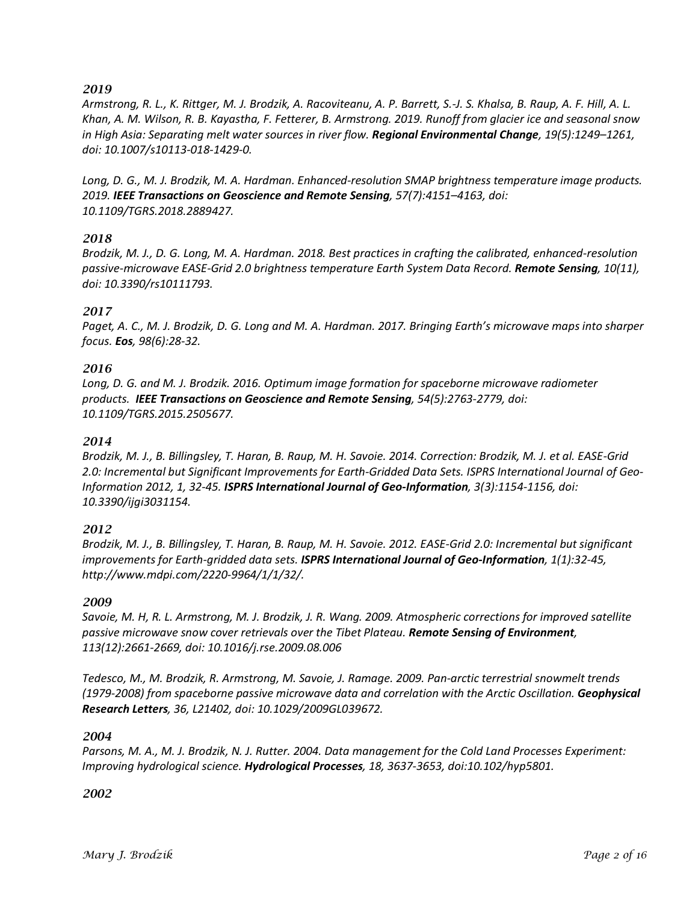*Armstrong, R. L., K. Rittger, M. J. Brodzik, A. Racoviteanu, A. P. Barrett, S.-J. S. Khalsa, B. Raup, A. F. Hill, A. L. Khan, A. M. Wilson, R. B. Kayastha, F. Fetterer, B. Armstrong. 2019. Runoff from glacier ice and seasonal snow in High Asia: Separating melt water sources in river flow. Regional Environmental Change, 19(5):1249–1261, doi: 10.1007/s10113-018-1429-0.*

*Long, D. G., M. J. Brodzik, M. A. Hardman. Enhanced-resolution SMAP brightness temperature image products. 2019. IEEE Transactions on Geoscience and Remote Sensing, 57(7):4151–4163, doi: 10.1109/TGRS.2018.2889427.*

#### *2018*

*Brodzik, M. J., D. G. Long, M. A. Hardman. 2018. Best practices in crafting the calibrated, enhanced-resolution passive-microwave EASE-Grid 2.0 brightness temperature Earth System Data Record. Remote Sensing, 10(11), doi: 10.3390/rs10111793.* 

#### *2017*

*Paget, A. C., M. J. Brodzik, D. G. Long and M. A. Hardman. 2017. Bringing Earth's microwave maps into sharper focus. Eos, 98(6):28-32.*

#### *2016*

*Long, D. G. and M. J. Brodzik. 2016. Optimum image formation for spaceborne microwave radiometer products. IEEE Transactions on Geoscience and Remote Sensing, 54(5):2763-2779, doi: 10.1109/TGRS.2015.2505677.*

#### *2014*

*Brodzik, M. J., B. Billingsley, T. Haran, B. Raup, M. H. Savoie. 2014. Correction: Brodzik, M. J. et al. EASE-Grid 2.0: Incremental but Significant Improvements for Earth-Gridded Data Sets. ISPRS International Journal of Geo-Information 2012, 1, 32-45. ISPRS International Journal of Geo-Information, 3(3):1154-1156, doi: 10.3390/ijgi3031154.*

#### *2012*

*Brodzik, M. J., B. Billingsley, T. Haran, B. Raup, M. H. Savoie. 2012. EASE-Grid 2.0: Incremental but significant improvements for Earth-gridded data sets. ISPRS International Journal of Geo-Information, 1(1):32-45, http://www.mdpi.com/2220-9964/1/1/32/.*

#### *2009*

*Savoie, M. H, R. L. Armstrong, M. J. Brodzik, J. R. Wang. 2009. Atmospheric corrections for improved satellite passive microwave snow cover retrievals over the Tibet Plateau. Remote Sensing of Environment, 113(12):2661-2669, doi: 10.1016/j.rse.2009.08.006*

*Tedesco, M., M. Brodzik, R. Armstrong, M. Savoie, J. Ramage. 2009. Pan-arctic terrestrial snowmelt trends (1979-2008) from spaceborne passive microwave data and correlation with the Arctic Oscillation. Geophysical Research Letters, 36, L21402, doi: 10.1029/2009GL039672.*

#### *2004*

*Parsons, M. A., M. J. Brodzik, N. J. Rutter. 2004. Data management for the Cold Land Processes Experiment: Improving hydrological science. Hydrological Processes, 18, 3637-3653, doi:10.102/hyp5801.*

#### *2002*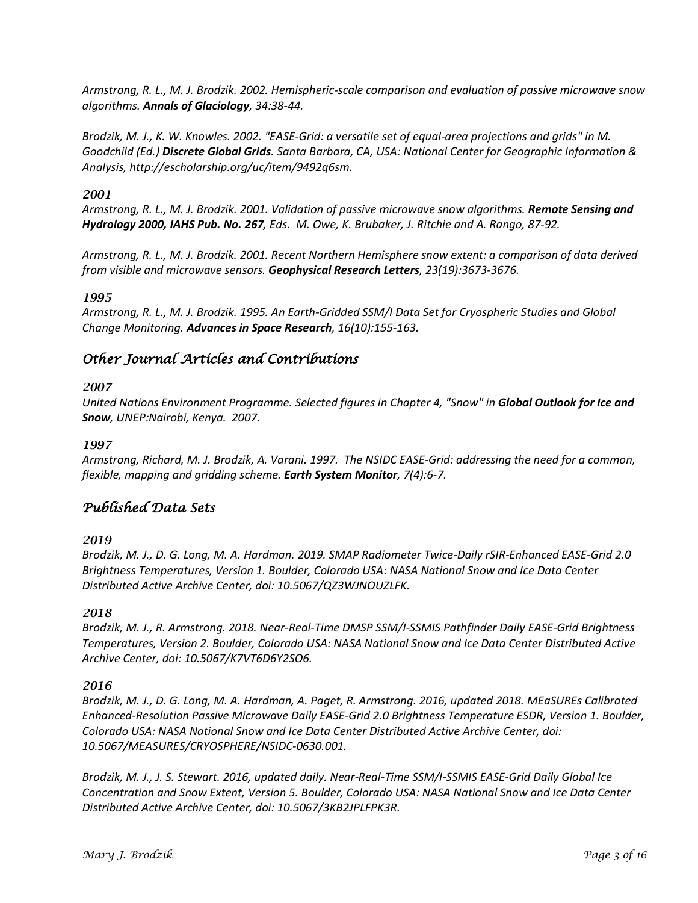*Armstrong, R. L., M. J. Brodzik. 2002. Hemispheric-scale comparison and evaluation of passive microwave snow algorithms. Annals of Glaciology, 34:38-44.*

*Brodzik, M. J., K. W. Knowles. 2002. "EASE-Grid: a versatile set of equal-area projections and grids" in M. Goodchild (Ed.) Discrete Global Grids. Santa Barbara, CA, USA: National Center for Geographic Information & Analysis, http://escholarship.org/uc/item/9492q6sm.*

#### *2001*

*Armstrong, R. L., M. J. Brodzik. 2001. Validation of passive microwave snow algorithms. Remote Sensing and Hydrology 2000, IAHS Pub. No. 267, Eds. M. Owe, K. Brubaker, J. Ritchie and A. Rango, 87-92.*

*Armstrong, R. L., M. J. Brodzik. 2001. Recent Northern Hemisphere snow extent: a comparison of data derived from visible and microwave sensors. Geophysical Research Letters, 23(19):3673-3676.*

#### *1995*

*Armstrong, R. L., M. J. Brodzik. 1995. An Earth-Gridded SSM/I Data Set for Cryospheric Studies and Global Change Monitoring. Advances in Space Research, 16(10):155-163.*

### *Other Journal Articles and Contributions*

#### *2007*

*United Nations Environment Programme. Selected figures in Chapter 4, "Snow" in Global Outlook for Ice and Snow, UNEP:Nairobi, Kenya. 2007.*

#### *1997*

*Armstrong, Richard, M. J. Brodzik, A. Varani. 1997. The NSIDC EASE-Grid: addressing the need for a common, flexible, mapping and gridding scheme. Earth System Monitor, 7(4):6-7.*

### *Published Data Sets*

#### *2019*

*Brodzik, M. J., D. G. Long, M. A. Hardman. 2019. SMAP Radiometer Twice-Daily rSIR-Enhanced EASE-Grid 2.0 Brightness Temperatures, Version 1. Boulder, Colorado USA: NASA National Snow and Ice Data Center Distributed Active Archive Center, doi: 10.5067/QZ3WJNOUZLFK.*

#### *2018*

*Brodzik, M. J., R. Armstrong. 2018. Near-Real-Time DMSP SSM/I-SSMIS Pathfinder Daily EASE-Grid Brightness Temperatures, Version 2. Boulder, Colorado USA: NASA National Snow and Ice Data Center Distributed Active Archive Center, doi: 10.5067/K7VT6D6Y2SO6.*

#### *2016*

*Brodzik, M. J., D. G. Long, M. A. Hardman, A. Paget, R. Armstrong. 2016, updated 2018. MEaSUREs Calibrated Enhanced-Resolution Passive Microwave Daily EASE-Grid 2.0 Brightness Temperature ESDR, Version 1. Boulder, Colorado USA: NASA National Snow and Ice Data Center Distributed Active Archive Center, doi: 10.5067/MEASURES/CRYOSPHERE/NSIDC-0630.001.*

*Brodzik, M. J., J. S. Stewart. 2016, updated daily. Near-Real-Time SSM/I-SSMIS EASE-Grid Daily Global Ice Concentration and Snow Extent, Version 5. Boulder, Colorado USA: NASA National Snow and Ice Data Center Distributed Active Archive Center, doi: 10.5067/3KB2JPLFPK3R.*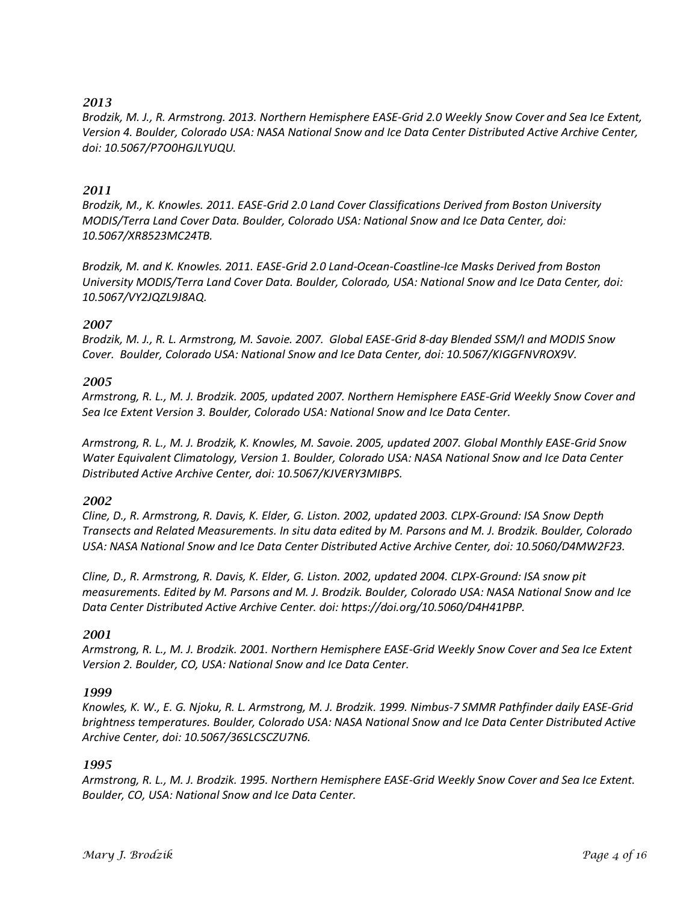*Brodzik, M. J., R. Armstrong. 2013. Northern Hemisphere EASE-Grid 2.0 Weekly Snow Cover and Sea Ice Extent, Version 4. Boulder, Colorado USA: NASA National Snow and Ice Data Center Distributed Active Archive Center, doi: 10.5067/P7O0HGJLYUQU.*

#### *2011*

*Brodzik, M., K. Knowles. 2011. EASE-Grid 2.0 Land Cover Classifications Derived from Boston University MODIS/Terra Land Cover Data. Boulder, Colorado USA: National Snow and Ice Data Center, doi: 10.5067/XR8523MC24TB.*

*Brodzik, M. and K. Knowles. 2011. EASE-Grid 2.0 Land-Ocean-Coastline-Ice Masks Derived from Boston University MODIS/Terra Land Cover Data. Boulder, Colorado, USA: National Snow and Ice Data Center, doi: 10.5067/VY2JQZL9J8AQ.*

#### *2007*

*Brodzik, M. J., R. L. Armstrong, M. Savoie. 2007. Global EASE-Grid 8-day Blended SSM/I and MODIS Snow Cover. Boulder, Colorado USA: National Snow and Ice Data Center, doi: 10.5067/KIGGFNVROX9V.*

#### *2005*

*Armstrong, R. L., M. J. Brodzik. 2005, updated 2007. Northern Hemisphere EASE-Grid Weekly Snow Cover and Sea Ice Extent Version 3. Boulder, Colorado USA: National Snow and Ice Data Center.* 

*Armstrong, R. L., M. J. Brodzik, K. Knowles, M. Savoie. 2005, updated 2007. Global Monthly EASE-Grid Snow Water Equivalent Climatology, Version 1. Boulder, Colorado USA: NASA National Snow and Ice Data Center Distributed Active Archive Center, doi: 10.5067/KJVERY3MIBPS.*

#### *2002*

*Cline, D., R. Armstrong, R. Davis, K. Elder, G. Liston. 2002, updated 2003. CLPX-Ground: ISA Snow Depth Transects and Related Measurements. In situ data edited by M. Parsons and M. J. Brodzik. Boulder, Colorado USA: NASA National Snow and Ice Data Center Distributed Active Archive Center, doi: 10.5060/D4MW2F23.*

*Cline, D., R. Armstrong, R. Davis, K. Elder, G. Liston. 2002, updated 2004. CLPX-Ground: ISA snow pit measurements. Edited by M. Parsons and M. J. Brodzik. Boulder, Colorado USA: NASA National Snow and Ice Data Center Distributed Active Archive Center. doi: https://doi.org/10.5060/D4H41PBP.*

#### *2001*

*Armstrong, R. L., M. J. Brodzik. 2001. Northern Hemisphere EASE-Grid Weekly Snow Cover and Sea Ice Extent Version 2. Boulder, CO, USA: National Snow and Ice Data Center.*

#### *1999*

*Knowles, K. W., E. G. Njoku, R. L. Armstrong, M. J. Brodzik. 1999. Nimbus-7 SMMR Pathfinder daily EASE-Grid brightness temperatures. Boulder, Colorado USA: NASA National Snow and Ice Data Center Distributed Active Archive Center, doi: 10.5067/36SLCSCZU7N6.* 

#### *1995*

*Armstrong, R. L., M. J. Brodzik. 1995. Northern Hemisphere EASE-Grid Weekly Snow Cover and Sea Ice Extent. Boulder, CO, USA: National Snow and Ice Data Center.*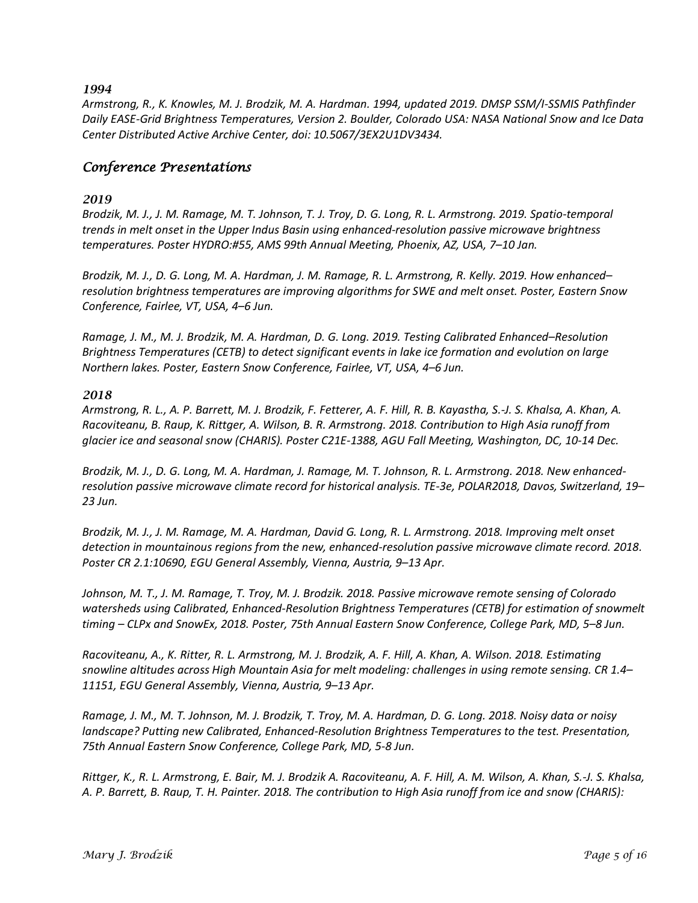*Armstrong, R., K. Knowles, M. J. Brodzik, M. A. Hardman. 1994, updated 2019. DMSP SSM/I-SSMIS Pathfinder Daily EASE-Grid Brightness Temperatures, Version 2. Boulder, Colorado USA: NASA National Snow and Ice Data Center Distributed Active Archive Center, doi: 10.5067/3EX2U1DV3434.*

### *Conference Presentations*

#### *2019*

*Brodzik, M. J., J. M. Ramage, M. T. Johnson, T. J. Troy, D. G. Long, R. L. Armstrong. 2019. Spatio-temporal trends in melt onset in the Upper Indus Basin using enhanced-resolution passive microwave brightness temperatures. Poster HYDRO:#55, AMS 99th Annual Meeting, Phoenix, AZ, USA, 7–10 Jan.*

*Brodzik, M. J., D. G. Long, M. A. Hardman, J. M. Ramage, R. L. Armstrong, R. Kelly. 2019. How enhanced– resolution brightness temperatures are improving algorithms for SWE and melt onset. Poster, Eastern Snow Conference, Fairlee, VT, USA, 4–6 Jun.*

*Ramage, J. M., M. J. Brodzik, M. A. Hardman, D. G. Long. 2019. Testing Calibrated Enhanced–Resolution Brightness Temperatures (CETB) to detect significant events in lake ice formation and evolution on large Northern lakes. Poster, Eastern Snow Conference, Fairlee, VT, USA, 4–6 Jun.*

#### *2018*

*Armstrong, R. L., A. P. Barrett, M. J. Brodzik, F. Fetterer, A. F. Hill, R. B. Kayastha, S.-J. S. Khalsa, A. Khan, A. Racoviteanu, B. Raup, K. Rittger, A. Wilson, B. R. Armstrong. 2018. Contribution to High Asia runoff from glacier ice and seasonal snow (CHARIS). Poster C21E-1388, AGU Fall Meeting, Washington, DC, 10-14 Dec.*

*Brodzik, M. J., D. G. Long, M. A. Hardman, J. Ramage, M. T. Johnson, R. L. Armstrong. 2018. New enhancedresolution passive microwave climate record for historical analysis. TE-3e, POLAR2018, Davos, Switzerland, 19– 23 Jun.*

*Brodzik, M. J., J. M. Ramage, M. A. Hardman, David G. Long, R. L. Armstrong. 2018. Improving melt onset detection in mountainous regions from the new, enhanced-resolution passive microwave climate record. 2018. Poster CR 2.1:10690, EGU General Assembly, Vienna, Austria, 9–13 Apr.*

*Johnson, M. T., J. M. Ramage, T. Troy, M. J. Brodzik. 2018. Passive microwave remote sensing of Colorado watersheds using Calibrated, Enhanced-Resolution Brightness Temperatures (CETB) for estimation of snowmelt timing – CLPx and SnowEx, 2018. Poster, 75th Annual Eastern Snow Conference, College Park, MD, 5–8 Jun.*

*Racoviteanu, A., K. Ritter, R. L. Armstrong, M. J. Brodzik, A. F. Hill, A. Khan, A. Wilson. 2018. Estimating snowline altitudes across High Mountain Asia for melt modeling: challenges in using remote sensing. CR 1.4– 11151, EGU General Assembly, Vienna, Austria, 9–13 Apr.*

*Ramage, J. M., M. T. Johnson, M. J. Brodzik, T. Troy, M. A. Hardman, D. G. Long. 2018. Noisy data or noisy landscape? Putting new Calibrated, Enhanced-Resolution Brightness Temperatures to the test. Presentation, 75th Annual Eastern Snow Conference, College Park, MD, 5-8 Jun.*

*Rittger, K., R. L. Armstrong, E. Bair, M. J. Brodzik A. Racoviteanu, A. F. Hill, A. M. Wilson, A. Khan, S.-J. S. Khalsa, A. P. Barrett, B. Raup, T. H. Painter. 2018. The contribution to High Asia runoff from ice and snow (CHARIS):*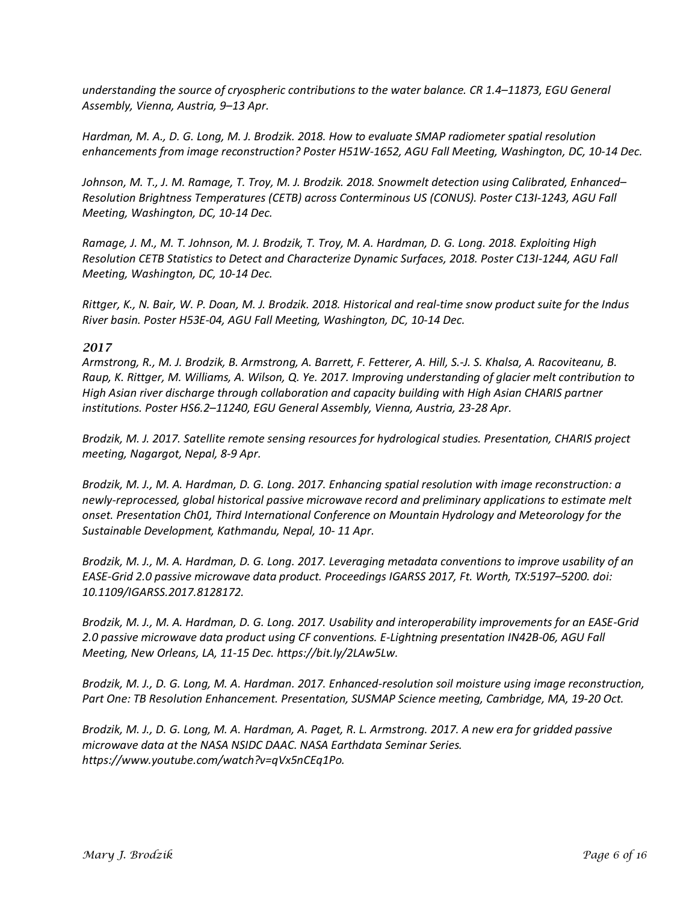*understanding the source of cryospheric contributions to the water balance. CR 1.4–11873, EGU General Assembly, Vienna, Austria, 9–13 Apr.*

*Hardman, M. A., D. G. Long, M. J. Brodzik. 2018. How to evaluate SMAP radiometer spatial resolution enhancements from image reconstruction? Poster H51W-1652, AGU Fall Meeting, Washington, DC, 10-14 Dec.*

*Johnson, M. T., J. M. Ramage, T. Troy, M. J. Brodzik. 2018. Snowmelt detection using Calibrated, Enhanced– Resolution Brightness Temperatures (CETB) across Conterminous US (CONUS). Poster C13I-1243, AGU Fall Meeting, Washington, DC, 10-14 Dec.*

*Ramage, J. M., M. T. Johnson, M. J. Brodzik, T. Troy, M. A. Hardman, D. G. Long. 2018. Exploiting High Resolution CETB Statistics to Detect and Characterize Dynamic Surfaces, 2018. Poster C13I-1244, AGU Fall Meeting, Washington, DC, 10-14 Dec.*

*Rittger, K., N. Bair, W. P. Doan, M. J. Brodzik. 2018. Historical and real-time snow product suite for the Indus River basin. Poster H53E-04, AGU Fall Meeting, Washington, DC, 10-14 Dec.*

#### *2017*

*Armstrong, R., M. J. Brodzik, B. Armstrong, A. Barrett, F. Fetterer, A. Hill, S.-J. S. Khalsa, A. Racoviteanu, B. Raup, K. Rittger, M. Williams, A. Wilson, Q. Ye. 2017. Improving understanding of glacier melt contribution to High Asian river discharge through collaboration and capacity building with High Asian CHARIS partner institutions. Poster HS6.2–11240, EGU General Assembly, Vienna, Austria, 23-28 Apr.*

*Brodzik, M. J. 2017. Satellite remote sensing resources for hydrological studies. Presentation, CHARIS project meeting, Nagargot, Nepal, 8-9 Apr.*

*Brodzik, M. J., M. A. Hardman, D. G. Long. 2017. Enhancing spatial resolution with image reconstruction: a newly-reprocessed, global historical passive microwave record and preliminary applications to estimate melt onset. Presentation Ch01, Third International Conference on Mountain Hydrology and Meteorology for the Sustainable Development, Kathmandu, Nepal, 10- 11 Apr.*

*Brodzik, M. J., M. A. Hardman, D. G. Long. 2017. Leveraging metadata conventions to improve usability of an EASE-Grid 2.0 passive microwave data product. Proceedings IGARSS 2017, Ft. Worth, TX:5197–5200. doi: 10.1109/IGARSS.2017.8128172.*

*Brodzik, M. J., M. A. Hardman, D. G. Long. 2017. Usability and interoperability improvements for an EASE-Grid 2.0 passive microwave data product using CF conventions. E-Lightning presentation IN42B-06, AGU Fall Meeting, New Orleans, LA, 11-15 Dec. https://bit.ly/2LAw5Lw.*

*Brodzik, M. J., D. G. Long, M. A. Hardman. 2017. Enhanced-resolution soil moisture using image reconstruction, Part One: TB Resolution Enhancement. Presentation, SUSMAP Science meeting, Cambridge, MA, 19-20 Oct.*

*Brodzik, M. J., D. G. Long, M. A. Hardman, A. Paget, R. L. Armstrong. 2017. A new era for gridded passive microwave data at the NASA NSIDC DAAC. NASA Earthdata Seminar Series. https://www.youtube.com/watch?v=qVx5nCEq1Po.*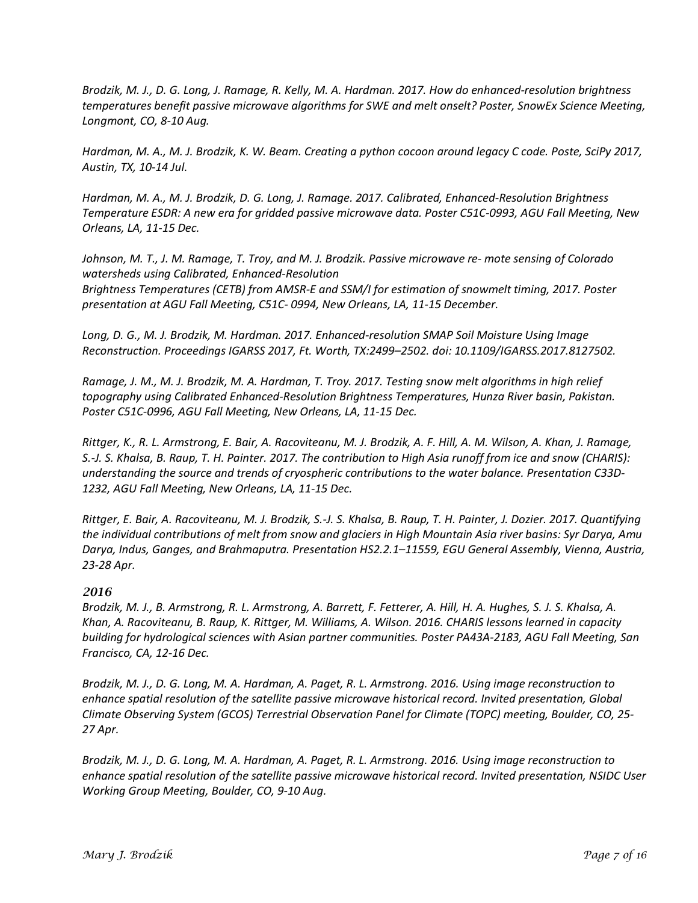*Brodzik, M. J., D. G. Long, J. Ramage, R. Kelly, M. A. Hardman. 2017. How do enhanced-resolution brightness temperatures benefit passive microwave algorithms for SWE and melt onselt? Poster, SnowEx Science Meeting, Longmont, CO, 8-10 Aug.*

*Hardman, M. A., M. J. Brodzik, K. W. Beam. Creating a python cocoon around legacy C code. Poste, SciPy 2017, Austin, TX, 10-14 Jul.*

*Hardman, M. A., M. J. Brodzik, D. G. Long, J. Ramage. 2017. Calibrated, Enhanced-Resolution Brightness Temperature ESDR: A new era for gridded passive microwave data. Poster C51C-0993, AGU Fall Meeting, New Orleans, LA, 11-15 Dec.*

*Johnson, M. T., J. M. Ramage, T. Troy, and M. J. Brodzik. Passive microwave re- mote sensing of Colorado watersheds using Calibrated, Enhanced-Resolution Brightness Temperatures (CETB) from AMSR-E and SSM/I for estimation of snowmelt timing, 2017. Poster presentation at AGU Fall Meeting, C51C- 0994, New Orleans, LA, 11-15 December.*

*Long, D. G., M. J. Brodzik, M. Hardman. 2017. Enhanced-resolution SMAP Soil Moisture Using Image Reconstruction. Proceedings IGARSS 2017, Ft. Worth, TX:2499–2502. doi: 10.1109/IGARSS.2017.8127502.*

*Ramage, J. M., M. J. Brodzik, M. A. Hardman, T. Troy. 2017. Testing snow melt algorithms in high relief topography using Calibrated Enhanced-Resolution Brightness Temperatures, Hunza River basin, Pakistan. Poster C51C-0996, AGU Fall Meeting, New Orleans, LA, 11-15 Dec.*

*Rittger, K., R. L. Armstrong, E. Bair, A. Racoviteanu, M. J. Brodzik, A. F. Hill, A. M. Wilson, A. Khan, J. Ramage, S.-J. S. Khalsa, B. Raup, T. H. Painter. 2017. The contribution to High Asia runoff from ice and snow (CHARIS): understanding the source and trends of cryospheric contributions to the water balance. Presentation C33D-1232, AGU Fall Meeting, New Orleans, LA, 11-15 Dec.*

*Rittger, E. Bair, A. Racoviteanu, M. J. Brodzik, S.-J. S. Khalsa, B. Raup, T. H. Painter, J. Dozier. 2017. Quantifying the individual contributions of melt from snow and glaciers in High Mountain Asia river basins: Syr Darya, Amu Darya, Indus, Ganges, and Brahmaputra. Presentation HS2.2.1–11559, EGU General Assembly, Vienna, Austria, 23-28 Apr.*

#### *2016*

*Brodzik, M. J., B. Armstrong, R. L. Armstrong, A. Barrett, F. Fetterer, A. Hill, H. A. Hughes, S. J. S. Khalsa, A. Khan, A. Racoviteanu, B. Raup, K. Rittger, M. Williams, A. Wilson. 2016. CHARIS lessons learned in capacity building for hydrological sciences with Asian partner communities. Poster PA43A-2183, AGU Fall Meeting, San Francisco, CA, 12-16 Dec.*

*Brodzik, M. J., D. G. Long, M. A. Hardman, A. Paget, R. L. Armstrong. 2016. Using image reconstruction to enhance spatial resolution of the satellite passive microwave historical record. Invited presentation, Global Climate Observing System (GCOS) Terrestrial Observation Panel for Climate (TOPC) meeting, Boulder, CO, 25- 27 Apr.* 

*Brodzik, M. J., D. G. Long, M. A. Hardman, A. Paget, R. L. Armstrong. 2016. Using image reconstruction to enhance spatial resolution of the satellite passive microwave historical record. Invited presentation, NSIDC User Working Group Meeting, Boulder, CO, 9-10 Aug.*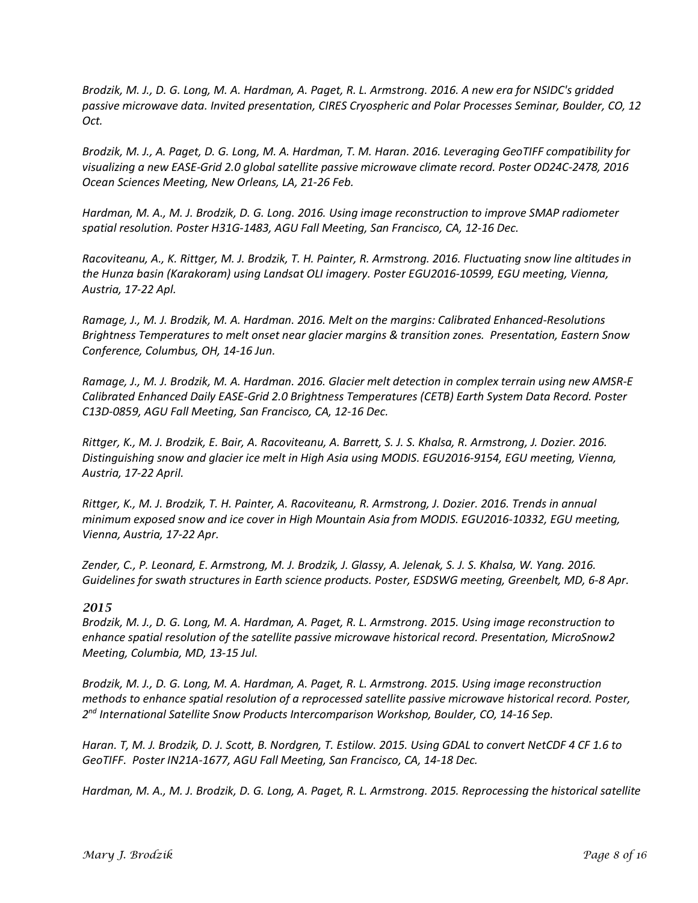*Brodzik, M. J., D. G. Long, M. A. Hardman, A. Paget, R. L. Armstrong. 2016. A new era for NSIDC's gridded passive microwave data. Invited presentation, CIRES Cryospheric and Polar Processes Seminar, Boulder, CO, 12 Oct.* 

*Brodzik, M. J., A. Paget, D. G. Long, M. A. Hardman, T. M. Haran. 2016. Leveraging GeoTIFF compatibility for visualizing a new EASE-Grid 2.0 global satellite passive microwave climate record. Poster OD24C-2478, 2016 Ocean Sciences Meeting, New Orleans, LA, 21-26 Feb.*

*Hardman, M. A., M. J. Brodzik, D. G. Long. 2016. Using image reconstruction to improve SMAP radiometer spatial resolution. Poster H31G-1483, AGU Fall Meeting, San Francisco, CA, 12-16 Dec.* 

*Racoviteanu, A., K. Rittger, M. J. Brodzik, T. H. Painter, R. Armstrong. 2016. Fluctuating snow line altitudes in the Hunza basin (Karakoram) using Landsat OLI imagery. Poster EGU2016-10599, EGU meeting, Vienna, Austria, 17-22 Apl.* 

*Ramage, J., M. J. Brodzik, M. A. Hardman. 2016. Melt on the margins: Calibrated Enhanced-Resolutions Brightness Temperatures to melt onset near glacier margins & transition zones. Presentation, Eastern Snow Conference, Columbus, OH, 14-16 Jun.* 

*Ramage, J., M. J. Brodzik, M. A. Hardman. 2016. Glacier melt detection in complex terrain using new AMSR-E Calibrated Enhanced Daily EASE-Grid 2.0 Brightness Temperatures (CETB) Earth System Data Record. Poster C13D-0859, AGU Fall Meeting, San Francisco, CA, 12-16 Dec.* 

*Rittger, K., M. J. Brodzik, E. Bair, A. Racoviteanu, A. Barrett, S. J. S. Khalsa, R. Armstrong, J. Dozier. 2016. Distinguishing snow and glacier ice melt in High Asia using MODIS. EGU2016-9154, EGU meeting, Vienna, Austria, 17-22 April.* 

*Rittger, K., M. J. Brodzik, T. H. Painter, A. Racoviteanu, R. Armstrong, J. Dozier. 2016. Trends in annual minimum exposed snow and ice cover in High Mountain Asia from MODIS. EGU2016-10332, EGU meeting, Vienna, Austria, 17-22 Apr.*

*Zender, C., P. Leonard, E. Armstrong, M. J. Brodzik, J. Glassy, A. Jelenak, S. J. S. Khalsa, W. Yang. 2016. Guidelines for swath structures in Earth science products. Poster, ESDSWG meeting, Greenbelt, MD, 6-8 Apr.*

#### *2015*

*Brodzik, M. J., D. G. Long, M. A. Hardman, A. Paget, R. L. Armstrong. 2015. Using image reconstruction to enhance spatial resolution of the satellite passive microwave historical record. Presentation, MicroSnow2 Meeting, Columbia, MD, 13-15 Jul.* 

*Brodzik, M. J., D. G. Long, M. A. Hardman, A. Paget, R. L. Armstrong. 2015. Using image reconstruction methods to enhance spatial resolution of a reprocessed satellite passive microwave historical record. Poster, 2nd International Satellite Snow Products Intercomparison Workshop, Boulder, CO, 14-16 Sep.* 

*Haran. T, M. J. Brodzik, D. J. Scott, B. Nordgren, T. Estilow. 2015. Using GDAL to convert NetCDF 4 CF 1.6 to GeoTIFF. Poster IN21A-1677, AGU Fall Meeting, San Francisco, CA, 14-18 Dec.*

*Hardman, M. A., M. J. Brodzik, D. G. Long, A. Paget, R. L. Armstrong. 2015. Reprocessing the historical satellite*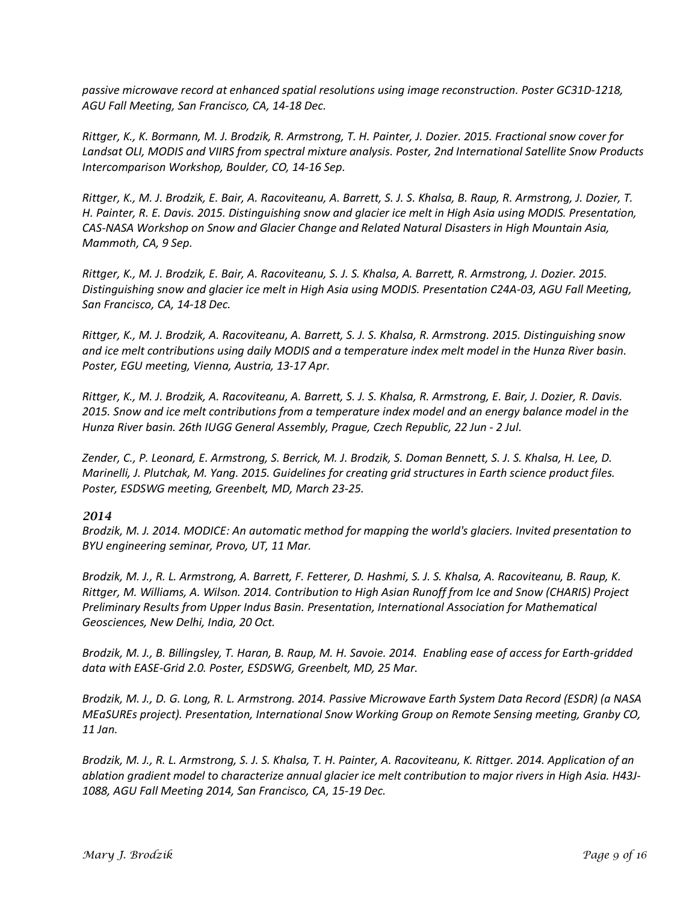*passive microwave record at enhanced spatial resolutions using image reconstruction. Poster GC31D-1218, AGU Fall Meeting, San Francisco, CA, 14-18 Dec.* 

*Rittger, K., K. Bormann, M. J. Brodzik, R. Armstrong, T. H. Painter, J. Dozier. 2015. Fractional snow cover for Landsat OLI, MODIS and VIIRS from spectral mixture analysis. Poster, 2nd International Satellite Snow Products Intercomparison Workshop, Boulder, CO, 14-16 Sep.* 

*Rittger, K., M. J. Brodzik, E. Bair, A. Racoviteanu, A. Barrett, S. J. S. Khalsa, B. Raup, R. Armstrong, J. Dozier, T. H. Painter, R. E. Davis. 2015. Distinguishing snow and glacier ice melt in High Asia using MODIS. Presentation, CAS-NASA Workshop on Snow and Glacier Change and Related Natural Disasters in High Mountain Asia, Mammoth, CA, 9 Sep.*

*Rittger, K., M. J. Brodzik, E. Bair, A. Racoviteanu, S. J. S. Khalsa, A. Barrett, R. Armstrong, J. Dozier. 2015. Distinguishing snow and glacier ice melt in High Asia using MODIS. Presentation C24A-03, AGU Fall Meeting, San Francisco, CA, 14-18 Dec.* 

*Rittger, K., M. J. Brodzik, A. Racoviteanu, A. Barrett, S. J. S. Khalsa, R. Armstrong. 2015. Distinguishing snow and ice melt contributions using daily MODIS and a temperature index melt model in the Hunza River basin. Poster, EGU meeting, Vienna, Austria, 13-17 Apr.*

*Rittger, K., M. J. Brodzik, A. Racoviteanu, A. Barrett, S. J. S. Khalsa, R. Armstrong, E. Bair, J. Dozier, R. Davis. 2015. Snow and ice melt contributions from a temperature index model and an energy balance model in the Hunza River basin. 26th IUGG General Assembly, Prague, Czech Republic, 22 Jun - 2 Jul.* 

*Zender, C., P. Leonard, E. Armstrong, S. Berrick, M. J. Brodzik, S. Doman Bennett, S. J. S. Khalsa, H. Lee, D. Marinelli, J. Plutchak, M. Yang. 2015. Guidelines for creating grid structures in Earth science product files. Poster, ESDSWG meeting, Greenbelt, MD, March 23-25.*

#### *2014*

*Brodzik, M. J. 2014. MODICE: An automatic method for mapping the world's glaciers. Invited presentation to BYU engineering seminar, Provo, UT, 11 Mar.*

*Brodzik, M. J., R. L. Armstrong, A. Barrett, F. Fetterer, D. Hashmi, S. J. S. Khalsa, A. Racoviteanu, B. Raup, K. Rittger, M. Williams, A. Wilson. 2014. Contribution to High Asian Runoff from Ice and Snow (CHARIS) Project Preliminary Results from Upper Indus Basin. Presentation, International Association for Mathematical Geosciences, New Delhi, India, 20 Oct.*

*Brodzik, M. J., B. Billingsley, T. Haran, B. Raup, M. H. Savoie. 2014. Enabling ease of access for Earth-gridded data with EASE-Grid 2.0. Poster, ESDSWG, Greenbelt, MD, 25 Mar.*

*Brodzik, M. J., D. G. Long, R. L. Armstrong. 2014. Passive Microwave Earth System Data Record (ESDR) (a NASA MEaSUREs project). Presentation, International Snow Working Group on Remote Sensing meeting, Granby CO, 11 Jan.*

*Brodzik, M. J., R. L. Armstrong, S. J. S. Khalsa, T. H. Painter, A. Racoviteanu, K. Rittger. 2014. Application of an ablation gradient model to characterize annual glacier ice melt contribution to major rivers in High Asia. H43J-1088, AGU Fall Meeting 2014, San Francisco, CA, 15-19 Dec.*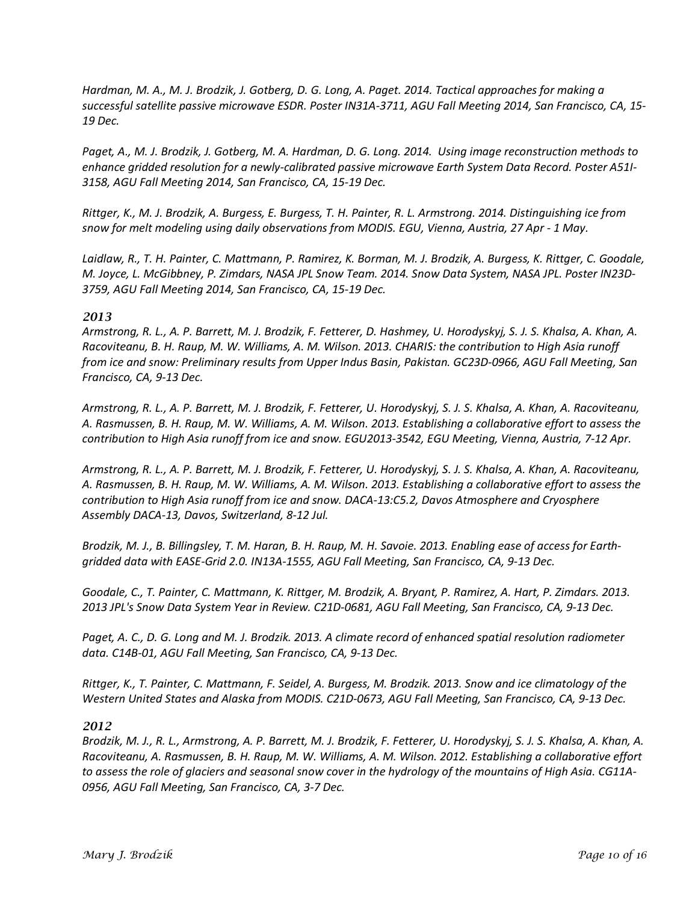*Hardman, M. A., M. J. Brodzik, J. Gotberg, D. G. Long, A. Paget. 2014. Tactical approaches for making a successful satellite passive microwave ESDR. Poster IN31A-3711, AGU Fall Meeting 2014, San Francisco, CA, 15- 19 Dec.*

*Paget, A., M. J. Brodzik, J. Gotberg, M. A. Hardman, D. G. Long. 2014. Using image reconstruction methods to enhance gridded resolution for a newly-calibrated passive microwave Earth System Data Record. Poster A51I-3158, AGU Fall Meeting 2014, San Francisco, CA, 15-19 Dec.*

*Rittger, K., M. J. Brodzik, A. Burgess, E. Burgess, T. H. Painter, R. L. Armstrong. 2014. Distinguishing ice from snow for melt modeling using daily observations from MODIS. EGU, Vienna, Austria, 27 Apr - 1 May.*

*Laidlaw, R., T. H. Painter, C. Mattmann, P. Ramirez, K. Borman, M. J. Brodzik, A. Burgess, K. Rittger, C. Goodale, M. Joyce, L. McGibbney, P. Zimdars, NASA JPL Snow Team. 2014. Snow Data System, NASA JPL. Poster IN23D-3759, AGU Fall Meeting 2014, San Francisco, CA, 15-19 Dec.*

#### *2013*

*Armstrong, R. L., A. P. Barrett, M. J. Brodzik, F. Fetterer, D. Hashmey, U. Horodyskyj, S. J. S. Khalsa, A. Khan, A. Racoviteanu, B. H. Raup, M. W. Williams, A. M. Wilson. 2013. CHARIS: the contribution to High Asia runoff from ice and snow: Preliminary results from Upper Indus Basin, Pakistan. GC23D-0966, AGU Fall Meeting, San Francisco, CA, 9-13 Dec.*

*Armstrong, R. L., A. P. Barrett, M. J. Brodzik, F. Fetterer, U. Horodyskyj, S. J. S. Khalsa, A. Khan, A. Racoviteanu, A. Rasmussen, B. H. Raup, M. W. Williams, A. M. Wilson. 2013. Establishing a collaborative effort to assess the contribution to High Asia runoff from ice and snow. EGU2013-3542, EGU Meeting, Vienna, Austria, 7-12 Apr.*

*Armstrong, R. L., A. P. Barrett, M. J. Brodzik, F. Fetterer, U. Horodyskyj, S. J. S. Khalsa, A. Khan, A. Racoviteanu, A. Rasmussen, B. H. Raup, M. W. Williams, A. M. Wilson. 2013. Establishing a collaborative effort to assess the contribution to High Asia runoff from ice and snow. DACA-13:C5.2, Davos Atmosphere and Cryosphere Assembly DACA-13, Davos, Switzerland, 8-12 Jul.*

*Brodzik, M. J., B. Billingsley, T. M. Haran, B. H. Raup, M. H. Savoie. 2013. Enabling ease of access for Earthgridded data with EASE-Grid 2.0. IN13A-1555, AGU Fall Meeting, San Francisco, CA, 9-13 Dec.*

*Goodale, C., T. Painter, C. Mattmann, K. Rittger, M. Brodzik, A. Bryant, P. Ramirez, A. Hart, P. Zimdars. 2013. 2013 JPL's Snow Data System Year in Review. C21D-0681, AGU Fall Meeting, San Francisco, CA, 9-13 Dec.*

*Paget, A. C., D. G. Long and M. J. Brodzik. 2013. A climate record of enhanced spatial resolution radiometer data. C14B-01, AGU Fall Meeting, San Francisco, CA, 9-13 Dec.*

*Rittger, K., T. Painter, C. Mattmann, F. Seidel, A. Burgess, M. Brodzik. 2013. Snow and ice climatology of the Western United States and Alaska from MODIS. C21D-0673, AGU Fall Meeting, San Francisco, CA, 9-13 Dec.*

#### *2012*

*Brodzik, M. J., R. L., Armstrong, A. P. Barrett, M. J. Brodzik, F. Fetterer, U. Horodyskyj, S. J. S. Khalsa, A. Khan, A. Racoviteanu, A. Rasmussen, B. H. Raup, M. W. Williams, A. M. Wilson. 2012. Establishing a collaborative effort to assess the role of glaciers and seasonal snow cover in the hydrology of the mountains of High Asia. CG11A-0956, AGU Fall Meeting, San Francisco, CA, 3-7 Dec.*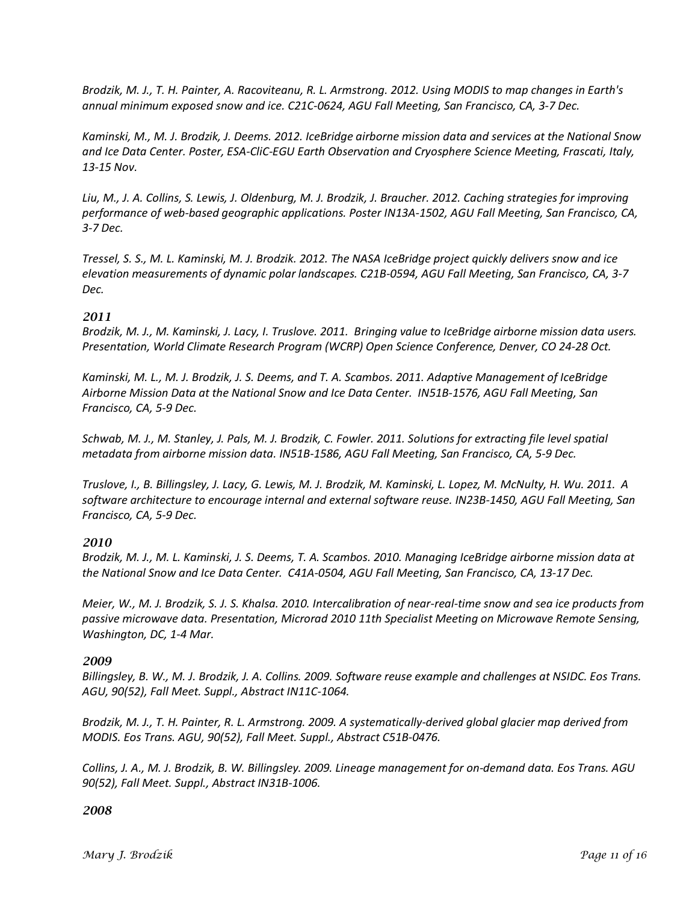*Brodzik, M. J., T. H. Painter, A. Racoviteanu, R. L. Armstrong. 2012. Using MODIS to map changes in Earth's annual minimum exposed snow and ice. C21C-0624, AGU Fall Meeting, San Francisco, CA, 3-7 Dec.*

*Kaminski, M., M. J. Brodzik, J. Deems. 2012. IceBridge airborne mission data and services at the National Snow and Ice Data Center. Poster, ESA-CliC-EGU Earth Observation and Cryosphere Science Meeting, Frascati, Italy, 13-15 Nov.*

*Liu, M., J. A. Collins, S. Lewis, J. Oldenburg, M. J. Brodzik, J. Braucher. 2012. Caching strategies for improving performance of web-based geographic applications. Poster IN13A-1502, AGU Fall Meeting, San Francisco, CA, 3-7 Dec.*

*Tressel, S. S., M. L. Kaminski, M. J. Brodzik. 2012. The NASA IceBridge project quickly delivers snow and ice elevation measurements of dynamic polar landscapes. C21B-0594, AGU Fall Meeting, San Francisco, CA, 3-7 Dec.*

#### *2011*

*Brodzik, M. J., M. Kaminski, J. Lacy, I. Truslove. 2011. Bringing value to IceBridge airborne mission data users. Presentation, World Climate Research Program (WCRP) Open Science Conference, Denver, CO 24-28 Oct.*

*Kaminski, M. L., M. J. Brodzik, J. S. Deems, and T. A. Scambos. 2011. Adaptive Management of IceBridge Airborne Mission Data at the National Snow and Ice Data Center. IN51B-1576, AGU Fall Meeting, San Francisco, CA, 5-9 Dec.*

*Schwab, M. J., M. Stanley, J. Pals, M. J. Brodzik, C. Fowler. 2011. Solutions for extracting file level spatial metadata from airborne mission data. IN51B-1586, AGU Fall Meeting, San Francisco, CA, 5-9 Dec.*

*Truslove, I., B. Billingsley, J. Lacy, G. Lewis, M. J. Brodzik, M. Kaminski, L. Lopez, M. McNulty, H. Wu. 2011. A software architecture to encourage internal and external software reuse. IN23B-1450, AGU Fall Meeting, San Francisco, CA, 5-9 Dec.*

#### *2010*

*Brodzik, M. J., M. L. Kaminski, J. S. Deems, T. A. Scambos. 2010. Managing IceBridge airborne mission data at the National Snow and Ice Data Center. C41A-0504, AGU Fall Meeting, San Francisco, CA, 13-17 Dec.*

*Meier, W., M. J. Brodzik, S. J. S. Khalsa. 2010. Intercalibration of near-real-time snow and sea ice products from passive microwave data. Presentation, Microrad 2010 11th Specialist Meeting on Microwave Remote Sensing, Washington, DC, 1-4 Mar.*

#### *2009*

*Billingsley, B. W., M. J. Brodzik, J. A. Collins. 2009. Software reuse example and challenges at NSIDC. Eos Trans. AGU, 90(52), Fall Meet. Suppl., Abstract IN11C-1064.*

*Brodzik, M. J., T. H. Painter, R. L. Armstrong. 2009. A systematically-derived global glacier map derived from MODIS. Eos Trans. AGU, 90(52), Fall Meet. Suppl., Abstract C51B-0476.*

*Collins, J. A., M. J. Brodzik, B. W. Billingsley. 2009. Lineage management for on-demand data. Eos Trans. AGU 90(52), Fall Meet. Suppl., Abstract IN31B-1006.*

#### *2008*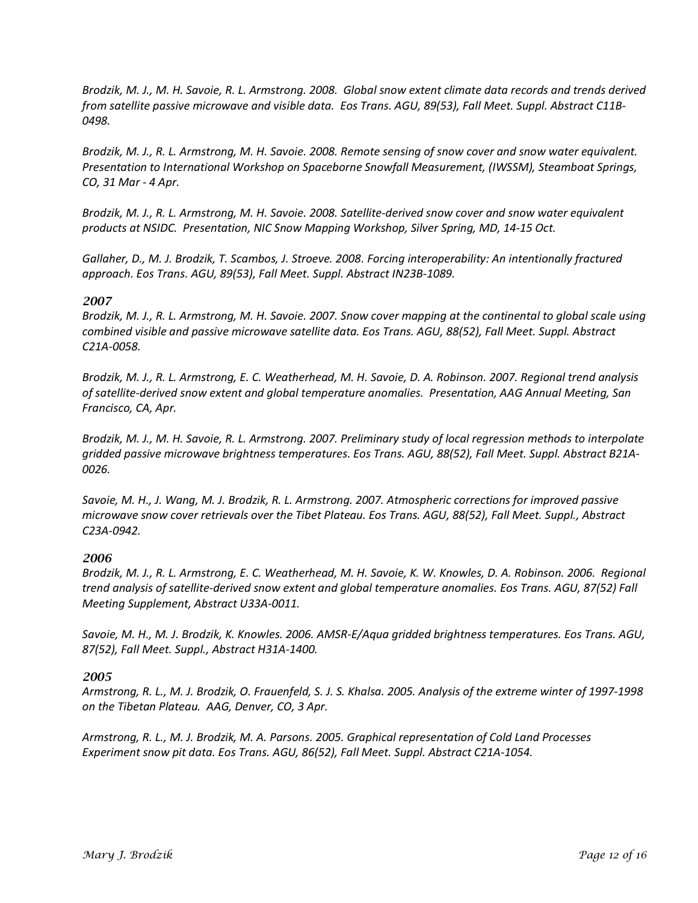*Brodzik, M. J., M. H. Savoie, R. L. Armstrong. 2008. Global snow extent climate data records and trends derived from satellite passive microwave and visible data. Eos Trans. AGU, 89(53), Fall Meet. Suppl. Abstract C11B-0498.*

*Brodzik, M. J., R. L. Armstrong, M. H. Savoie. 2008. Remote sensing of snow cover and snow water equivalent. Presentation to International Workshop on Spaceborne Snowfall Measurement, (IWSSM), Steamboat Springs, CO, 31 Mar - 4 Apr.*

*Brodzik, M. J., R. L. Armstrong, M. H. Savoie. 2008. Satellite-derived snow cover and snow water equivalent products at NSIDC. Presentation, NIC Snow Mapping Workshop, Silver Spring, MD, 14-15 Oct.*

*Gallaher, D., M. J. Brodzik, T. Scambos, J. Stroeve. 2008. Forcing interoperability: An intentionally fractured approach. Eos Trans. AGU, 89(53), Fall Meet. Suppl. Abstract IN23B-1089.*

#### *2007*

*Brodzik, M. J., R. L. Armstrong, M. H. Savoie. 2007. Snow cover mapping at the continental to global scale using combined visible and passive microwave satellite data. Eos Trans. AGU, 88(52), Fall Meet. Suppl. Abstract C21A-0058.*

*Brodzik, M. J., R. L. Armstrong, E. C. Weatherhead, M. H. Savoie, D. A. Robinson. 2007. Regional trend analysis of satellite-derived snow extent and global temperature anomalies. Presentation, AAG Annual Meeting, San Francisco, CA, Apr.*

*Brodzik, M. J., M. H. Savoie, R. L. Armstrong. 2007. Preliminary study of local regression methods to interpolate gridded passive microwave brightness temperatures. Eos Trans. AGU, 88(52), Fall Meet. Suppl. Abstract B21A-0026.*

*Savoie, M. H., J. Wang, M. J. Brodzik, R. L. Armstrong. 2007. Atmospheric corrections for improved passive microwave snow cover retrievals over the Tibet Plateau. Eos Trans. AGU, 88(52), Fall Meet. Suppl., Abstract C23A-0942.*

#### *2006*

*Brodzik, M. J., R. L. Armstrong, E. C. Weatherhead, M. H. Savoie, K. W. Knowles, D. A. Robinson. 2006. Regional trend analysis of satellite-derived snow extent and global temperature anomalies. Eos Trans. AGU, 87(52) Fall Meeting Supplement, Abstract U33A-0011.*

*Savoie, M. H., M. J. Brodzik, K. Knowles. 2006. AMSR-E/Aqua gridded brightness temperatures. Eos Trans. AGU, 87(52), Fall Meet. Suppl., Abstract H31A-1400.*

#### *2005*

*Armstrong, R. L., M. J. Brodzik, O. Frauenfeld, S. J. S. Khalsa. 2005. Analysis of the extreme winter of 1997-1998 on the Tibetan Plateau. AAG, Denver, CO, 3 Apr.*

*Armstrong, R. L., M. J. Brodzik, M. A. Parsons. 2005. Graphical representation of Cold Land Processes Experiment snow pit data. Eos Trans. AGU, 86(52), Fall Meet. Suppl. Abstract C21A-1054.*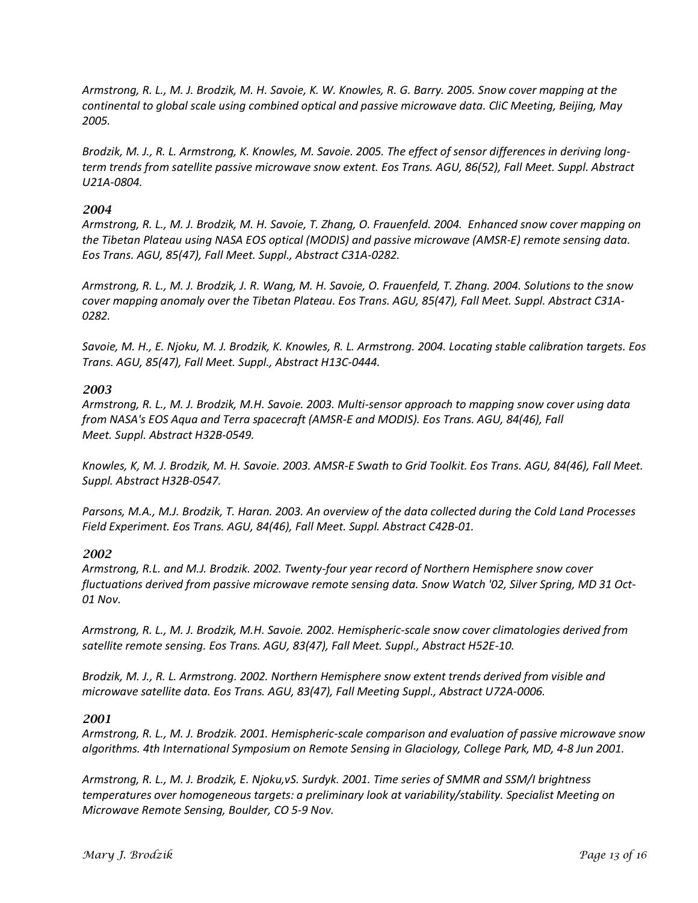*Armstrong, R. L., M. J. Brodzik, M. H. Savoie, K. W. Knowles, R. G. Barry. 2005. Snow cover mapping at the continental to global scale using combined optical and passive microwave data. CliC Meeting, Beijing, May 2005.*

*Brodzik, M. J., R. L. Armstrong, K. Knowles, M. Savoie. 2005. The effect of sensor differences in deriving longterm trends from satellite passive microwave snow extent. Eos Trans. AGU, 86(52), Fall Meet. Suppl. Abstract U21A-0804.*

#### *2004*

*Armstrong, R. L., M. J. Brodzik, M. H. Savoie, T. Zhang, O. Frauenfeld. 2004. Enhanced snow cover mapping on the Tibetan Plateau using NASA EOS optical (MODIS) and passive microwave (AMSR-E) remote sensing data. Eos Trans. AGU, 85(47), Fall Meet. Suppl., Abstract C31A-0282.*

*Armstrong, R. L., M. J. Brodzik, J. R. Wang, M. H. Savoie, O. Frauenfeld, T. Zhang. 2004. Solutions to the snow cover mapping anomaly over the Tibetan Plateau. Eos Trans. AGU, 85(47), Fall Meet. Suppl. Abstract C31A-0282.*

*Savoie, M. H., E. Njoku, M. J. Brodzik, K. Knowles, R. L. Armstrong. 2004. Locating stable calibration targets. Eos Trans. AGU, 85(47), Fall Meet. Suppl., Abstract H13C-0444.*

#### *2003*

*Armstrong, R. L., M. J. Brodzik, M.H. Savoie. 2003. Multi-sensor approach to mapping snow cover using data from NASA's EOS Aqua and Terra spacecraft (AMSR-E and MODIS). Eos Trans. AGU, 84(46), Fall Meet. Suppl. Abstract H32B-0549.*

*Knowles, K, M. J. Brodzik, M. H. Savoie. 2003. AMSR-E Swath to Grid Toolkit. Eos Trans. AGU, 84(46), Fall Meet. Suppl. Abstract H32B-0547.*

*Parsons, M.A., M.J. Brodzik, T. Haran. 2003. An overview of the data collected during the Cold Land Processes Field Experiment. Eos Trans. AGU, 84(46), Fall Meet. Suppl. Abstract C42B-01.*

#### *2002*

*Armstrong, R.L. and M.J. Brodzik. 2002. Twenty-four year record of Northern Hemisphere snow cover fluctuations derived from passive microwave remote sensing data. Snow Watch '02, Silver Spring, MD 31 Oct-01 Nov.*

*Armstrong, R. L., M. J. Brodzik, M.H. Savoie. 2002. Hemispheric-scale snow cover climatologies derived from satellite remote sensing. Eos Trans. AGU, 83(47), Fall Meet. Suppl., Abstract H52E-10.*

*Brodzik, M. J., R. L. Armstrong. 2002. Northern Hemisphere snow extent trends derived from visible and microwave satellite data. Eos Trans. AGU, 83(47), Fall Meeting Suppl., Abstract U72A-0006.*

#### *2001*

*Armstrong, R. L., M. J. Brodzik. 2001. Hemispheric-scale comparison and evaluation of passive microwave snow algorithms. 4th International Symposium on Remote Sensing in Glaciology, College Park, MD, 4-8 Jun 2001.*

*Armstrong, R. L., M. J. Brodzik, E. Njoku,vS. Surdyk. 2001. Time series of SMMR and SSM/I brightness temperatures over homogeneous targets: a preliminary look at variability/stability. Specialist Meeting on Microwave Remote Sensing, Boulder, CO 5-9 Nov.*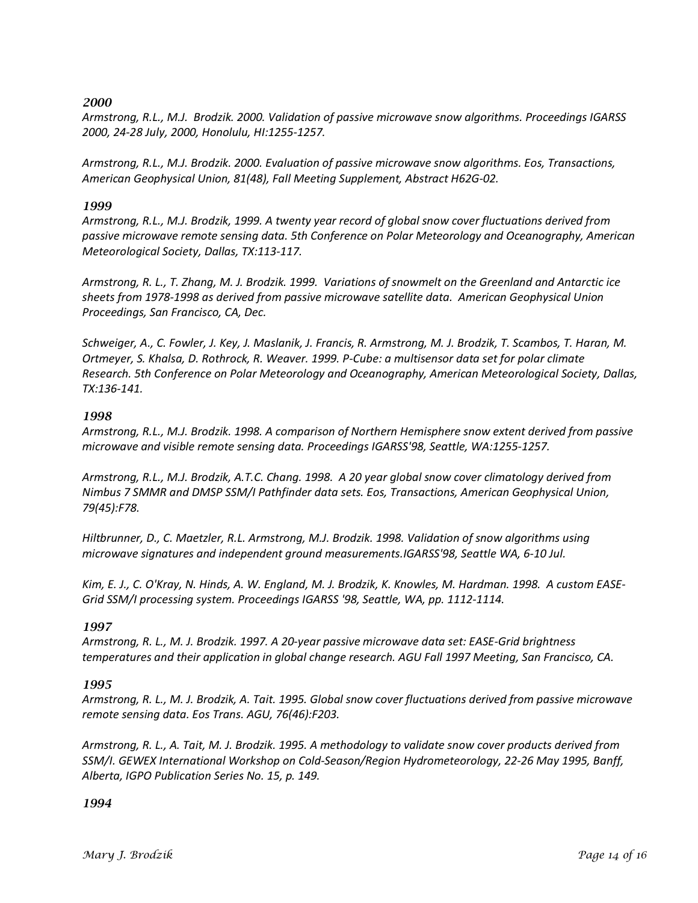*Armstrong, R.L., M.J. Brodzik. 2000. Validation of passive microwave snow algorithms. Proceedings IGARSS 2000, 24-28 July, 2000, Honolulu, HI:1255-1257.*

*Armstrong, R.L., M.J. Brodzik. 2000. Evaluation of passive microwave snow algorithms. Eos, Transactions, American Geophysical Union, 81(48), Fall Meeting Supplement, Abstract H62G-02.*

#### *1999*

*Armstrong, R.L., M.J. Brodzik, 1999. A twenty year record of global snow cover fluctuations derived from passive microwave remote sensing data. 5th Conference on Polar Meteorology and Oceanography, American Meteorological Society, Dallas, TX:113-117.*

*Armstrong, R. L., T. Zhang, M. J. Brodzik. 1999. Variations of snowmelt on the Greenland and Antarctic ice sheets from 1978-1998 as derived from passive microwave satellite data. American Geophysical Union Proceedings, San Francisco, CA, Dec.*

*Schweiger, A., C. Fowler, J. Key, J. Maslanik, J. Francis, R. Armstrong, M. J. Brodzik, T. Scambos, T. Haran, M. Ortmeyer, S. Khalsa, D. Rothrock, R. Weaver. 1999. P-Cube: a multisensor data set for polar climate Research. 5th Conference on Polar Meteorology and Oceanography, American Meteorological Society, Dallas, TX:136-141.*

#### *1998*

*Armstrong, R.L., M.J. Brodzik. 1998. A comparison of Northern Hemisphere snow extent derived from passive microwave and visible remote sensing data. Proceedings IGARSS'98, Seattle, WA:1255-1257.*

*Armstrong, R.L., M.J. Brodzik, A.T.C. Chang. 1998. A 20 year global snow cover climatology derived from Nimbus 7 SMMR and DMSP SSM/I Pathfinder data sets. Eos, Transactions, American Geophysical Union, 79(45):F78.*

*Hiltbrunner, D., C. Maetzler, R.L. Armstrong, M.J. Brodzik. 1998. Validation of snow algorithms using microwave signatures and independent ground measurements.IGARSS'98, Seattle WA, 6-10 Jul.*

*Kim, E. J., C. O'Kray, N. Hinds, A. W. England, M. J. Brodzik, K. Knowles, M. Hardman. 1998. A custom EASE-Grid SSM/I processing system. Proceedings IGARSS '98, Seattle, WA, pp. 1112-1114.*

#### *1997*

*Armstrong, R. L., M. J. Brodzik. 1997. A 20-year passive microwave data set: EASE-Grid brightness temperatures and their application in global change research. AGU Fall 1997 Meeting, San Francisco, CA.*

#### *1995*

*Armstrong, R. L., M. J. Brodzik, A. Tait. 1995. Global snow cover fluctuations derived from passive microwave remote sensing data. Eos Trans. AGU, 76(46):F203.*

*Armstrong, R. L., A. Tait, M. J. Brodzik. 1995. A methodology to validate snow cover products derived from SSM/I. GEWEX International Workshop on Cold-Season/Region Hydrometeorology, 22-26 May 1995, Banff, Alberta, IGPO Publication Series No. 15, p. 149.*

#### *1994*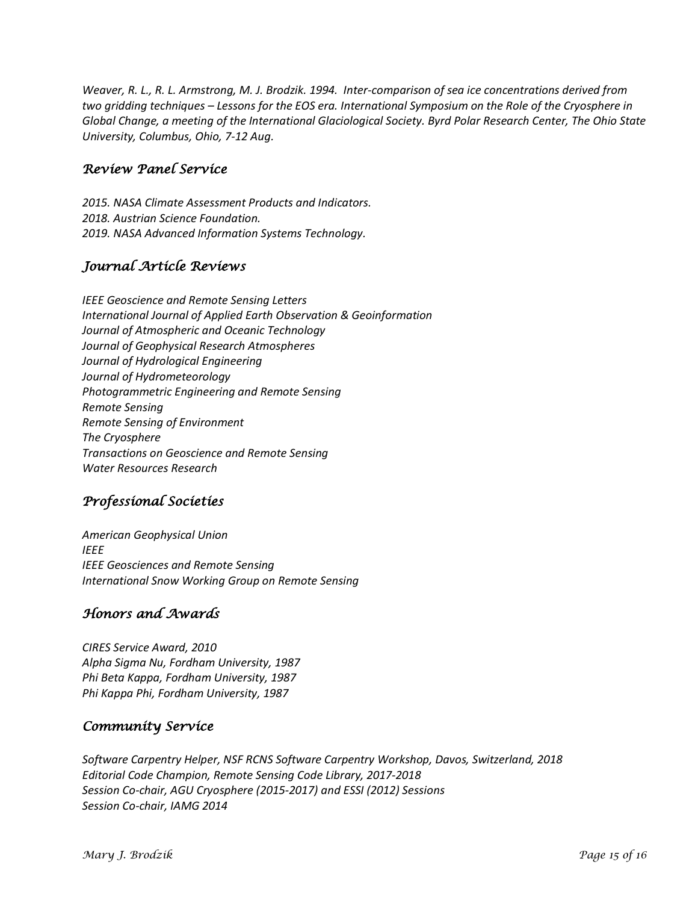*Weaver, R. L., R. L. Armstrong, M. J. Brodzik. 1994. Inter-comparison of sea ice concentrations derived from two gridding techniques – Lessons for the EOS era. International Symposium on the Role of the Cryosphere in Global Change, a meeting of the International Glaciological Society. Byrd Polar Research Center, The Ohio State University, Columbus, Ohio, 7-12 Aug.*

### *Review Panel Service*

*2015. NASA Climate Assessment Products and Indicators. 2018. Austrian Science Foundation. 2019. NASA Advanced Information Systems Technology.* 

### *Journal Article Reviews*

*IEEE Geoscience and Remote Sensing Letters International Journal of Applied Earth Observation & Geoinformation Journal of Atmospheric and Oceanic Technology Journal of Geophysical Research Atmospheres Journal of Hydrological Engineering Journal of Hydrometeorology Photogrammetric Engineering and Remote Sensing Remote Sensing Remote Sensing of Environment The Cryosphere Transactions on Geoscience and Remote Sensing Water Resources Research*

# *Professional Societies*

*American Geophysical Union IEEE IEEE Geosciences and Remote Sensing International Snow Working Group on Remote Sensing*

# *Honors and Awards*

*CIRES Service Award, 2010 Alpha Sigma Nu, Fordham University, 1987 Phi Beta Kappa, Fordham University, 1987 Phi Kappa Phi, Fordham University, 1987*

# *Community Service*

*Software Carpentry Helper, NSF RCNS Software Carpentry Workshop, Davos, Switzerland, 2018 Editorial Code Champion, Remote Sensing Code Library, 2017-2018 Session Co-chair, AGU Cryosphere (2015-2017) and ESSI (2012) Sessions Session Co-chair, IAMG 2014*